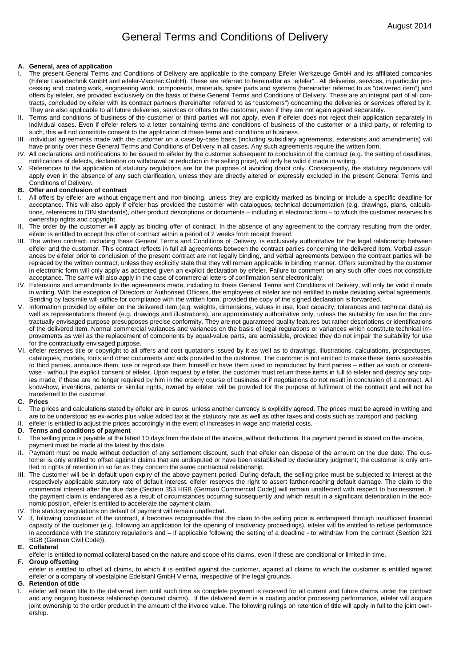# General Terms and Conditions of Delivery

## **A. General, area of application**

- The present General Terms and Conditions of Delivery are applicable to the company Eifeler Werkzeuge GmbH and its affiliated companies (Eifeler Lasertechnik GmbH and eifeler-Vacotec GmbH). These are referred to hereinafter as "eifeler". All deliveries, services, in particular processing and coating work, engineering work, components, materials, spare parts and systems (hereinafter referred to as "delivered item") and offers by eifeler, are provided exclusively on the basis of these General Terms and Conditions of Delivery. These are an integral part of all contracts, concluded by eifeler with its contract partners (hereinafter referred to as "customers") concerning the deliveries or services offered by it. They are also applicable to all future deliveries, services or offers to the customer, even if they are not again agreed separately.
- II. Terms and conditions of business of the customer or third parties will not apply, even if eifeler does not reject their application separately in individual cases. Even if eifeler refers to a letter containing terms and conditions of business of the customer or a third party, or referring to such, this will not constitute consent to the application of these terms and conditions of business.
- III. Individual agreements made with the customer on a case-by-case basis (including subsidiary agreements, extensions and amendments) will have priority over these General Terms and Conditions of Delivery in all cases. Any such agreements require the written form.
- IV. All declarations and notifications to be issued to eifeler by the customer subsequent to conclusion of the contract (e.g. the setting of deadlines, notifications of defects, declaration on withdrawal or reduction in the selling price), will only be valid if made in writing.
- V. References to the application of statutory regulations are for the purpose of avoiding doubt only. Consequently, the statutory regulations will apply even in the absence of any such clarification, unless they are directly altered or expressly excluded in the present General Terms and Conditions of Delivery.

#### **B. Offer and conclusion of contract**

- I. All offers by eifeler are without engagement and non-binding, unless they are explicitly marked as binding or include a specific deadline for acceptance. This will also apply if eifeler has provided the customer with catalogues, technical documentation (e.g. drawings, plans, calculations, references to DIN standards), other product descriptions or documents – including in electronic form – to which the customer reserves his ownership rights and copyright.
- II. The order by the customer will apply as binding offer of contract. In the absence of any agreement to the contrary resulting from the order, eifeler is entitled to accept this offer of contract within a period of 2 weeks from receipt thereof.
- III. The written contract, including these General Terms and Conditions of Delivery, is exclusively authoritative for the legal relationship between eifeler and the customer. This contract reflects in full all agreements between the contract parties concerning the delivered item. Verbal assurances by eifeler prior to conclusion of the present contract are not legally binding, and verbal agreements between the contract parties will be replaced by the written contract, unless they explicitly state that they will remain applicable in binding manner. Offers submitted by the customer in electronic form will only apply as accepted given an explicit declaration by eifeler. Failure to comment on any such offer does not constitute acceptance. The same will also apply in the case of commercial letters of confirmation sent electronically.
- IV. Extensions and amendments to the agreements made, including to these General Terms and Conditions of Delivery, will only be valid if made in writing. With the exception of Directors or Authorised Officers, the employees of eifeler are not entitled to make deviating verbal agreements. Sending by facsimile will suffice for compliance with the written form, provided the copy of the signed declaration is forwarded.
- V. Information provided by eifeler on the delivered item (e.g. weights, dimensions, values in use, load capacity, tolerances and technical data) as well as representations thereof (e.g. drawings and illustrations), are approximately authoritative only, unless the suitability for use for the contractually envisaged purpose presupposes precise conformity. They are not guaranteed quality features but rather descriptions or identifications of the delivered item. Normal commercial variances and variances on the basis of legal regulations or variances which constitute technical improvements as well as the replacement of components by equal-value parts, are admissible, provided they do not impair the suitability for use for the contractually envisaged purpose.
- VI. eifeler reserves title or copyright to all offers and cost quotations issued by it as well as to drawings, illustrations, calculations, prospectuses, catalogues, models, tools and other documents and aids provided to the customer. The customer is not entitled to make these items accessible to third parties, announce them, use or reproduce them himself or have them used or reproduced by third parties – either as such or contentwise - without the explicit consent of eifeler. Upon request by eifeler, the customer must return these items in full to eifeler and destroy any copies made, if these are no longer required by him in the orderly course of business or if negotiations do not result in conclusion of a contract. All know-how, inventions, patents or similar rights, owned by eifeler, will be provided for the purpose of fulfilment of the contract and will not be transferred to the customer.

#### **C. Prices**

- The prices and calculations stated by eifeler are in euros, unless another currency is explicitly agreed. The prices must be agreed in writing and are to be understood as ex-works plus value added tax at the statutory rate as well as other taxes and costs such as transport and packing.
- II. eifeler is entitled to adjust the prices accordingly in the event of increases in wage and material costs.

## **D. Terms and conditions of payment**

- I. The selling price is payable at the latest 10 days from the date of the invoice, without deductions. If a payment period is stated on the invoice, payment must be made at the latest by this date.
- II. Payment must be made without deduction of any settlement discount, such that eifeler can dispose of the amount on the due date. The customer is only entitled to offset against claims that are undisputed or have been established by declaratory judgment; the customer is only entitled to rights of retention in so far as they concern the same contractual relationship.
- III. The customer will be in default upon expiry of the above payment period. During default, the selling price must be subjected to interest at the respectively applicable statutory rate of default interest. eifeler reserves the right to assert farther-reaching default damage. The claim to the commercial interest after the due date (Section 353 HGB (German Commercial Code)) will remain unaffected with respect to businessmen. If the payment claim is endangered as a result of circumstances occurring subsequently and which result in a significant deterioration in the economic position, eifeler is entitled to accelerate the payment claim.
- IV. The statutory regulations on default of payment will remain unaffected.
- V. If, following conclusion of the contract, it becomes recognisable that the claim to the selling price is endangered through insufficient financial capacity of the customer (e.g. following an application for the opening of insolvency proceedings), eifeler will be entitled to refuse performance in accordance with the statutory regulations and – if applicable following the setting of a deadline - to withdraw from the contract (Section 321 BGB (German Civil Code)).

#### **E. Collateral**

eifeler is entitled to normal collateral based on the nature and scope of its claims, even if these are conditional or limited in time.

**F. Group offsetting** 

eifeler is entitled to offset all claims, to which it is entitled against the customer, against all claims to which the customer is entitled against eifeler or a company of voestalpine Edelstahl GmbH Vienna, irrespective of the legal grounds.

#### **G. Retention of title**

eifeler will retain title to the delivered item until such time as complete payment is received for all current and future claims under the contract and any ongoing business relationship (secured claims). If the delivered item is a coating and/or processing performance, eifeler will acquire joint ownership to the order product in the amount of the invoice value. The following rulings on retention of title will apply in full to the joint ownership.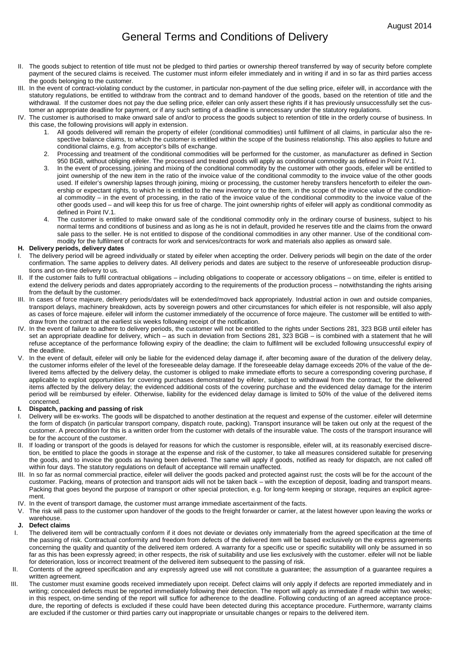- II. The goods subject to retention of title must not be pledged to third parties or ownership thereof transferred by way of security before complete payment of the secured claims is received. The customer must inform eifeler immediately and in writing if and in so far as third parties access the goods belonging to the customer.
- III. In the event of contract-violating conduct by the customer, in particular non-payment of the due selling price, eifeler will, in accordance with the statutory regulations, be entitled to withdraw from the contract and to demand handover of the goods, based on the retention of title and the withdrawal. If the customer does not pay the due selling price, eifeler can only assert these rights if it has previously unsuccessfully set the customer an appropriate deadline for payment, or if any such setting of a deadline is unnecessary under the statutory regulations.
- IV. The customer is authorised to make onward sale of and/or to process the goods subject to retention of title in the orderly course of business. In this case, the following provisions will apply in extension.
	- 1. All goods delivered will remain the property of eifeler (conditional commodities) until fulfilment of all claims, in particular also the respective balance claims, to which the customer is entitled within the scope of the business relationship. This also applies to future and conditional claims, e.g. from acceptor's bills of exchange.
	- 2. Processing and treatment of the conditional commodities will be performed for the customer, as manufacturer as defined in Section 950 BGB, without obliging eifeler. The processed and treated goods will apply as conditional commodity as defined in Point IV.1.
	- 3. In the event of processing, joining and mixing of the conditional commodity by the customer with other goods, eifeler will be entitled to joint ownership of the new item in the ratio of the invoice value of the conditional commodity to the invoice value of the other goods used. If eifeler's ownership lapses through joining, mixing or processing, the customer hereby transfers henceforth to eifeler the ownership or expectant rights, to which he is entitled to the new inventory or to the item, in the scope of the invoice value of the conditional commodity – in the event of processing, in the ratio of the invoice value of the conditional commodity to the invoice value of the other goods used – and will keep this for us free of charge. The joint ownership rights of eifeler will apply as conditional commodity as defined in Point IV.1.
	- The customer is entitled to make onward sale of the conditional commodity only in the ordinary course of business, subject to his normal terms and conditions of business and as long as he is not in default, provided he reserves title and the claims from the onward sale pass to the seller. He is not entitled to dispose of the conditional commodities in any other manner. Use of the conditional commodity for the fulfilment of contracts for work and services/contracts for work and materials also applies as onward sale.

# **H. Delivery periods, delivery dates**

- I. The delivery period will be agreed individually or stated by eifeler when accepting the order. Delivery periods will begin on the date of the order confirmation. The same applies to delivery dates. All delivery periods and dates are subject to the reserve of unforeseeable production disruptions and on-time delivery to us.
- II. If the customer fails to fulfil contractual obligations including obligations to cooperate or accessory obligations on time, eifeler is entitled to extend the delivery periods and dates appropriately according to the requirements of the production process – notwithstanding the rights arising from the default by the customer.
- III. In cases of force majeure, delivery periods/dates will be extended/moved back appropriately. Industrial action in own and outside companies, transport delays, machinery breakdown, acts by sovereign powers and other circumstances for which eifeler is not responsible, will also apply as cases of force majeure. eifeler will inform the customer immediately of the occurrence of force majeure. The customer will be entitled to withdraw from the contract at the earliest six weeks following receipt of the notification.
- IV. In the event of failure to adhere to delivery periods, the customer will not be entitled to the rights under Sections 281, 323 BGB until eifeler has set an appropriate deadline for delivery, which – as such in deviation from Sections 281, 323 BGB – is combined with a statement that he will refuse acceptance of the performance following expiry of the deadline; the claim to fulfilment will be excluded following unsuccessful expiry of the deadline.
- V. In the event of default, eifeler will only be liable for the evidenced delay damage if, after becoming aware of the duration of the delivery delay, the customer informs eifeler of the level of the foreseeable delay damage. If the foreseeable delay damage exceeds 20% of the value of the delivered items affected by the delivery delay, the customer is obliged to make immediate efforts to secure a corresponding covering purchase, if applicable to exploit opportunities for covering purchases demonstrated by eifeler, subject to withdrawal from the contract, for the delivered items affected by the delivery delay; the evidenced additional costs of the covering purchase and the evidenced delay damage for the interim period will be reimbursed by eifeler. Otherwise, liability for the evidenced delay damage is limited to 50% of the value of the delivered items concerned.

## **I. Dispatch, packing and passing of risk**

- I. Delivery will be ex-works. The goods will be dispatched to another destination at the request and expense of the customer. eifeler will determine the form of dispatch (in particular transport company, dispatch route, packing). Transport insurance will be taken out only at the request of the customer. A precondition for this is a written order from the customer with details of the insurable value. The costs of the transport insurance will be for the account of the customer.
- II. If loading or transport of the goods is delayed for reasons for which the customer is responsible, eifeler will, at its reasonably exercised discretion, be entitled to place the goods in storage at the expense and risk of the customer, to take all measures considered suitable for preserving the goods, and to invoice the goods as having been delivered. The same will apply if goods, notified as ready for dispatch, are not called off within four days. The statutory regulations on default of acceptance will remain unaffected.
- III. In so far as normal commercial practice, eifeler will deliver the goods packed and protected against rust; the costs will be for the account of the customer. Packing, means of protection and transport aids will not be taken back – with the exception of deposit, loading and transport means. Packing that goes beyond the purpose of transport or other special protection, e.g. for long-term keeping or storage, requires an explicit agreement.
- IV. In the event of transport damage, the customer must arrange immediate ascertainment of the facts.
- The risk will pass to the customer upon handover of the goods to the freight forwarder or carrier, at the latest however upon leaving the works or warehouse.

## **J. Defect claims**

- I. The delivered item will be contractually conform if it does not deviate or deviates only immaterially from the agreed specification at the time of the passing of risk. Contractual conformity and freedom from defects of the delivered item will be based exclusively on the express agreements concerning the quality and quantity of the delivered item ordered. A warranty for a specific use or specific suitability will only be assumed in so far as this has been expressly agreed; in other respects, the risk of suitability and use lies exclusively with the customer. eifeler will not be liable for deterioration, loss or incorrect treatment of the delivered item subsequent to the passing of risk.
- II. Contents of the agreed specification and any expressly agreed use will not constitute a guarantee; the assumption of a guarantee requires a written agreement.
- III. The customer must examine goods received immediately upon receipt. Defect claims will only apply if defects are reported immediately and in writing; concealed defects must be reported immediately following their detection. The report will apply as immediate if made within two weeks; in this respect, on-time sending of the report will suffice for adherence to the deadline. Following conducting of an agreed acceptance procedure, the reporting of defects is excluded if these could have been detected during this acceptance procedure. Furthermore, warranty claims are excluded if the customer or third parties carry out inappropriate or unsuitable changes or repairs to the delivered item.